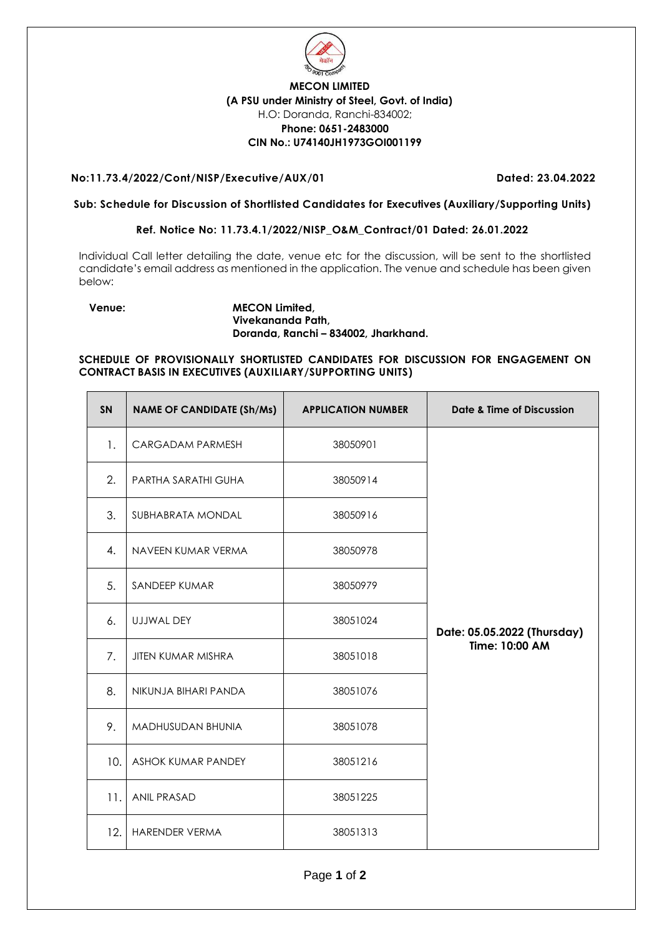

## **MECON LIMITED (A PSU under Ministry of Steel, Govt. of India)** H.O: Doranda, Ranchi-834002; **Phone: 0651-2483000 CIN No.: U74140JH1973GOI001199**

### **No:11.73.4/2022/Cont/NISP/Executive/AUX/01 Dated: 23.04.2022**

### **Sub: Schedule for Discussion of Shortlisted Candidates for Executives (Auxiliary/Supporting Units)**

#### **Ref. Notice No: 11.73.4.1/2022/NISP\_O&M\_Contract/01 Dated: 26.01.2022**

Individual Call letter detailing the date, venue etc for the discussion, will be sent to the shortlisted candidate's email address as mentioned in the application. The venue and schedule has been given below:

#### **Venue: MECON Limited, Vivekananda Path, Doranda, Ranchi – 834002, Jharkhand.**

#### **SCHEDULE OF PROVISIONALLY SHORTLISTED CANDIDATES FOR DISCUSSION FOR ENGAGEMENT ON CONTRACT BASIS IN EXECUTIVES (AUXILIARY/SUPPORTING UNITS)**

| SN  | <b>NAME OF CANDIDATE (Sh/Ms)</b> | <b>APPLICATION NUMBER</b> | Date & Time of Discussion   |
|-----|----------------------------------|---------------------------|-----------------------------|
| 1.  | CARGADAM PARMESH                 | 38050901                  |                             |
| 2.  | PARTHA SARATHI GUHA              | 38050914                  |                             |
| 3.  | SUBHABRATA MONDAL                | 38050916                  |                             |
| 4.  | NAVEEN KUMAR VERMA               | 38050978                  |                             |
| 5.  | SANDEEP KUMAR                    | 38050979                  |                             |
| 6.  | UJJWAL DEY                       | 38051024                  | Date: 05.05.2022 (Thursday) |
| 7.  | <b>JITEN KUMAR MISHRA</b>        | 38051018                  | Time: 10:00 AM              |
| 8.  | NIKUNJA BIHARI PANDA             | 38051076                  |                             |
| 9.  | <b>MADHUSUDAN BHUNIA</b>         | 38051078                  |                             |
| 10. | <b>ASHOK KUMAR PANDEY</b>        | 38051216                  |                             |
| 11. | ANIL PRASAD                      | 38051225                  |                             |
| 12. | HARENDER VERMA                   | 38051313                  |                             |